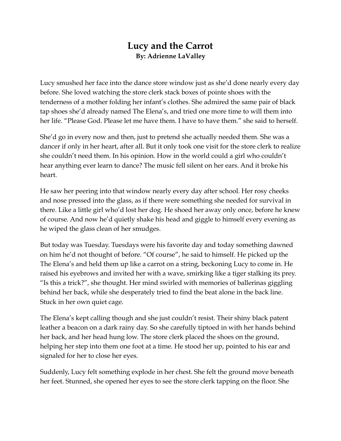## **Lucy and the Carrot By: Adrienne LaValley**

Lucy smushed her face into the dance store window just as she'd done nearly every day before. She loved watching the store clerk stack boxes of pointe shoes with the tenderness of a mother folding her infant's clothes. She admired the same pair of black tap shoes she'd already named The Elena's, and tried one more time to will them into her life. "Please God. Please let me have them. I have to have them." she said to herself.

She'd go in every now and then, just to pretend she actually needed them. She was a dancer if only in her heart, after all. But it only took one visit for the store clerk to realize she couldn't need them. In his opinion. How in the world could a girl who couldn't hear anything ever learn to dance? The music fell silent on her ears. And it broke his heart.

He saw her peering into that window nearly every day after school. Her rosy cheeks and nose pressed into the glass, as if there were something she needed for survival in there. Like a little girl who'd lost her dog. He shoed her away only once, before he knew of course. And now he'd quietly shake his head and giggle to himself every evening as he wiped the glass clean of her smudges.

But today was Tuesday. Tuesdays were his favorite day and today something dawned on him he'd not thought of before. "Of course", he said to himself. He picked up the The Elena's and held them up like a carrot on a string, beckoning Lucy to come in. He raised his eyebrows and invited her with a wave, smirking like a tiger stalking its prey. "Is this a trick?", she thought. Her mind swirled with memories of ballerinas giggling behind her back, while she desperately tried to find the beat alone in the back line. Stuck in her own quiet cage.

The Elena's kept calling though and she just couldn't resist. Their shiny black patent leather a beacon on a dark rainy day. So she carefully tiptoed in with her hands behind her back, and her head hung low. The store clerk placed the shoes on the ground, helping her step into them one foot at a time. He stood her up, pointed to his ear and signaled for her to close her eyes.

Suddenly, Lucy felt something explode in her chest. She felt the ground move beneath her feet. Stunned, she opened her eyes to see the store clerk tapping on the floor. She